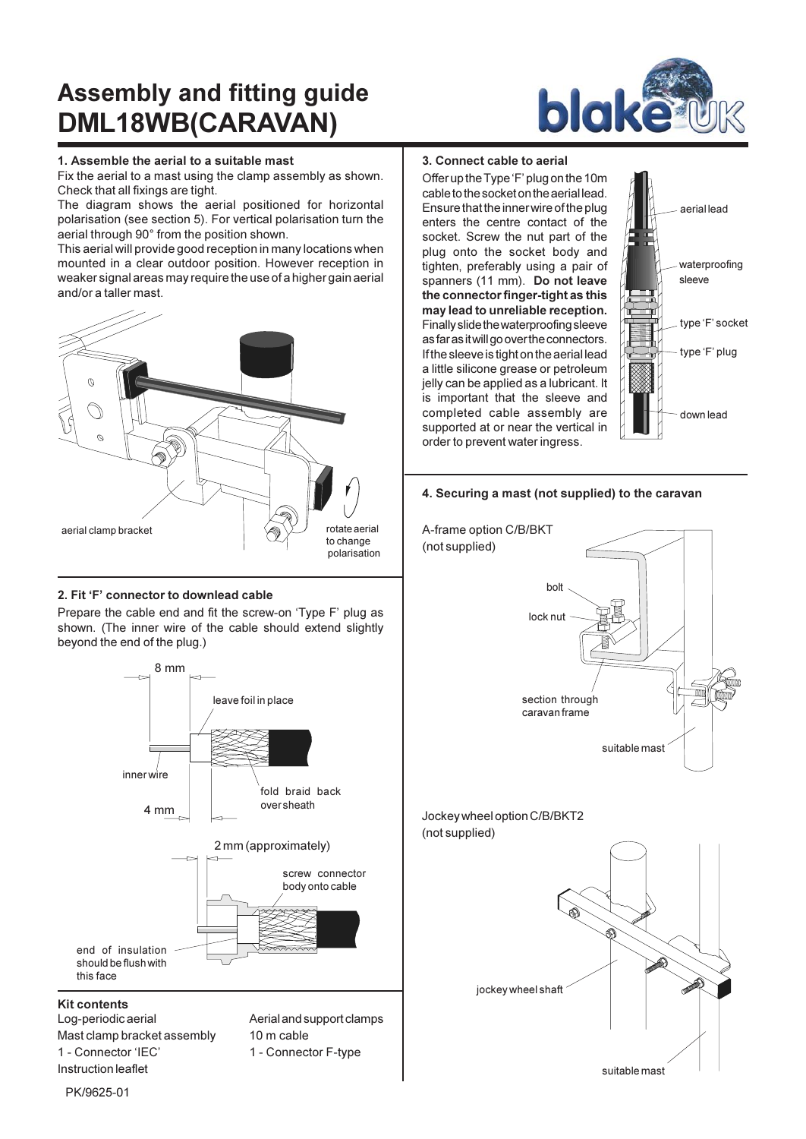# **Assembly and fitting guide** DML18WB(CARAVAN)



Fix the aerial to a mast using the clamp assembly as shown. Check that all fixings are tight.

The diagram shows the aerial positioned for horizontal polarisation (see section 5). For vertical polarisation turn the aerial through 90° from the position shown.

This aerial will provide good reception in many locations when mounted in a clear outdoor position. However reception in weaker signal areas may require the use of a higher gain aerial and/or a taller mast.



# 2. Fit 'F' connector to downlead cable

Prepare the cable end and fit the screw-on 'Type F' plug as shown. (The inner wire of the cable should extend slightly beyond the end of the plug.)



Log-periodic aerial Mast clamp bracket assembly 1 - Connector 'IEC' Instruction leaflet

Aerial and support clamps 10 m cable 1 - Connector F-type



## 3. Connect cable to aerial

Offer up the Type 'F' plug on the 10m cable to the socket on the aerial lead. Ensure that the inner wire of the plug enters the centre contact of the socket. Screw the nut part of the plug onto the socket body and tighten, preferably using a pair of spanners (11 mm). Do not leave the connector finger-tight as this may lead to unreliable reception. Finally slide the waterproofing sleeve as far as it will go over the connectors. If the sleeve is tight on the aerial lead a little silicone grease or petroleum jelly can be applied as a lubricant. It is important that the sleeve and completed cable assembly are supported at or near the vertical in order to prevent water ingress.



### 4. Securing a mast (not supplied) to the caravan



PK/9625-01